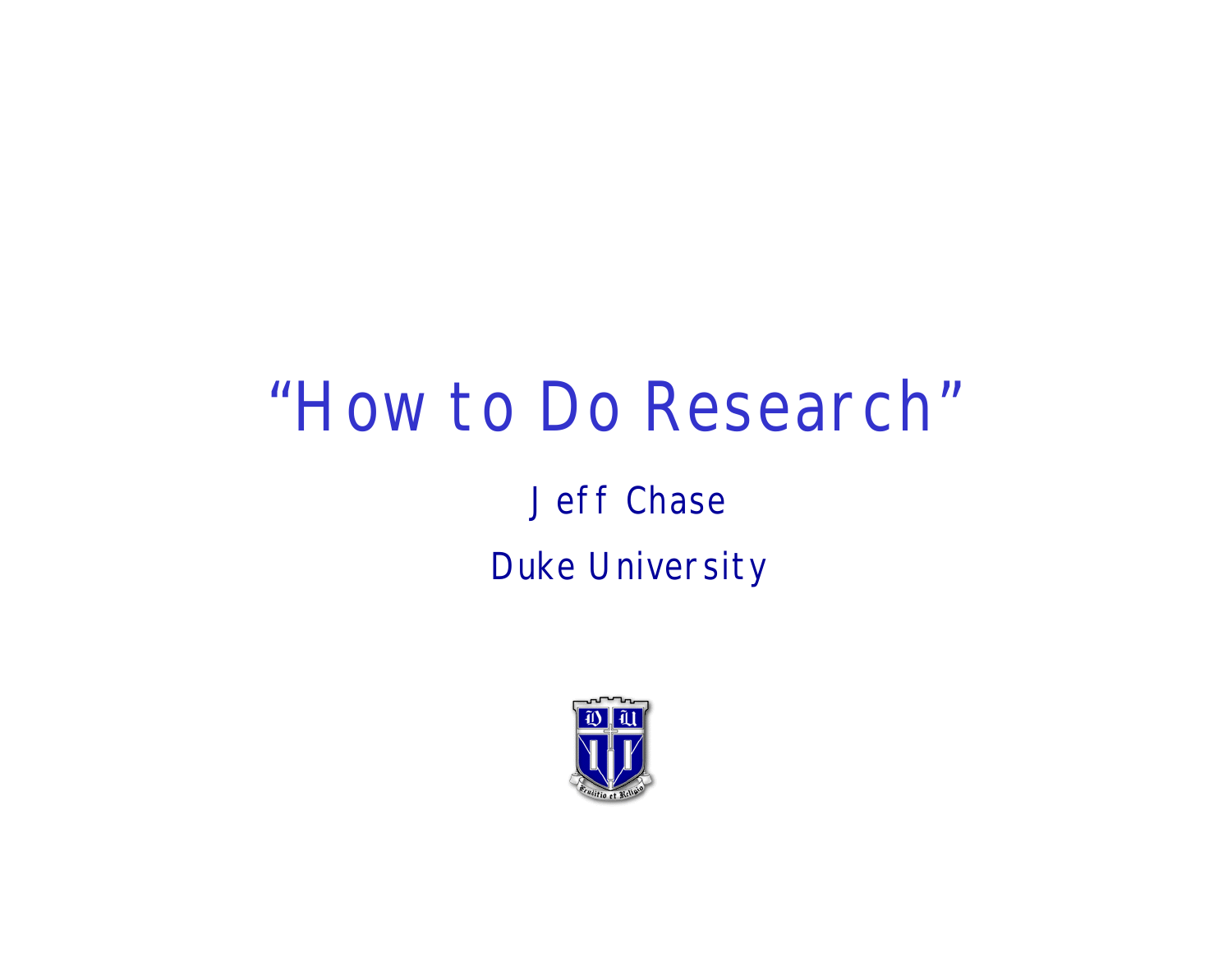#### "How to Do Research"

#### Jeff Chase Duke University

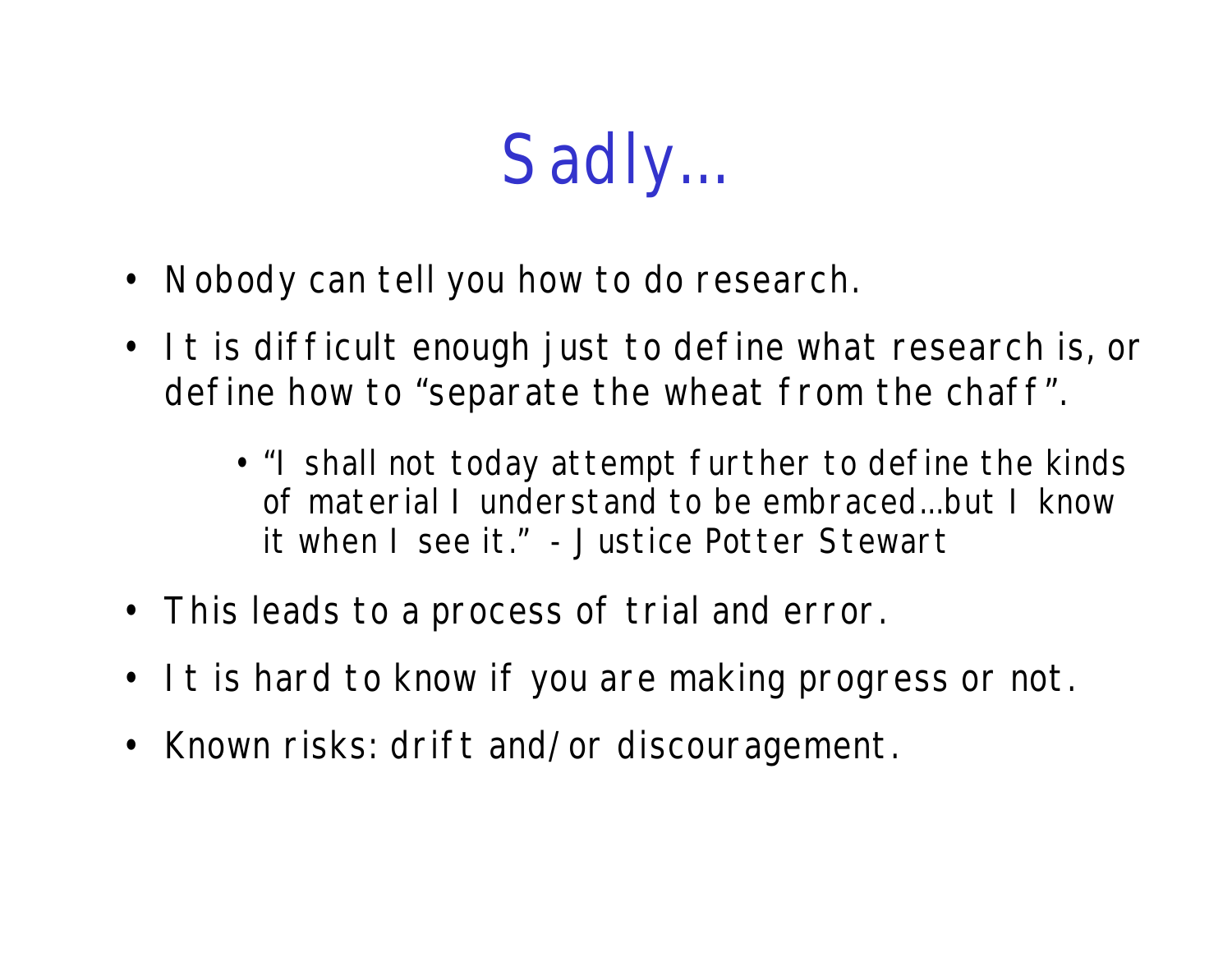## Sadly...

- Nobody can tell you how to do research.
- It is difficult enough just to define what research is, or define how to "separate the wheat from the chaff".
	- "I shall not today attempt further to define the kinds of material I understand to be embraced...but I know it when I see it." - Justice Potter Stewart
- This leads to a process of trial and error.
- It is hard to know if you are making progress or not.
- Known risks: drift and/or discouragement.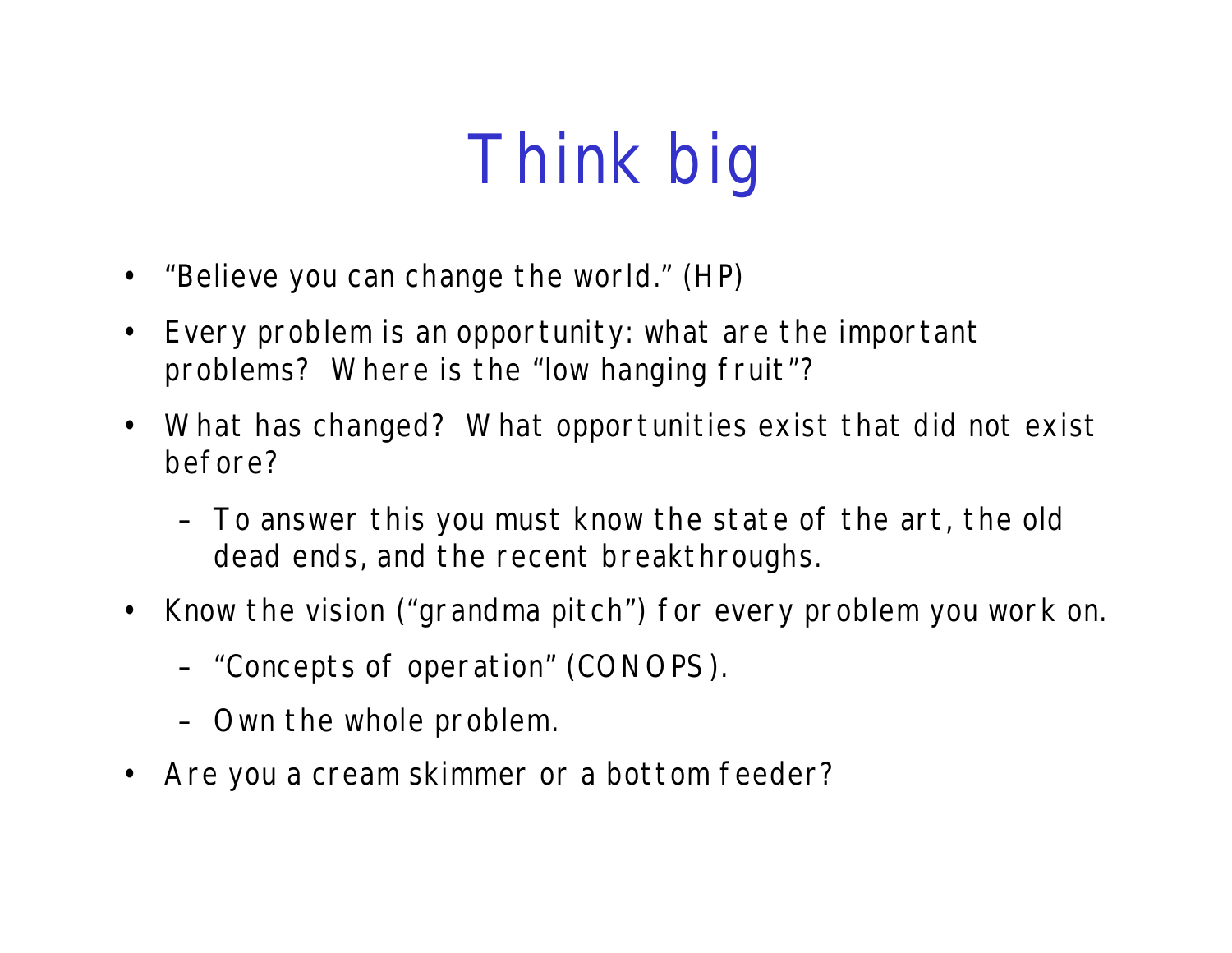# Think big

- "Believe you can change the world." (HP)
- Every problem is an opportunity: what are the important problems? Where is the "low hanging fruit"?
- What has changed? What opportunities exist that did not exist before?
	- To answer this you must know the state of the art, the old dead ends, and the recent breakthroughs.
- Know the vision ("grandma pitch") for every problem you work on.
	- "Concepts of operation" (CONOPS).
	- Own the whole problem.
- Are you a cream skimmer or a bottom feeder?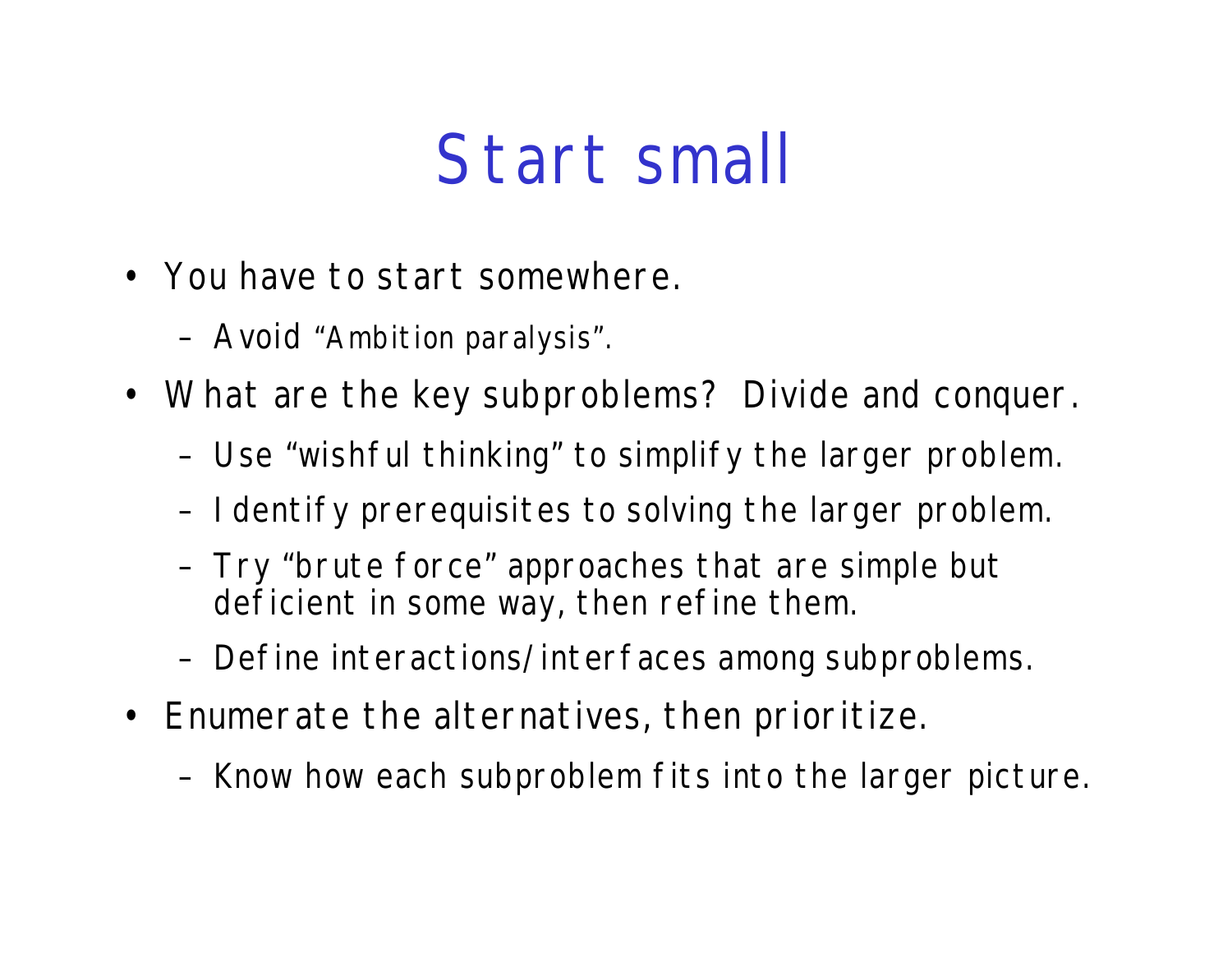### Start small

- You have to start somewhere.
	- Avoid "Ambition paralysis".
- What are the key subproblems? Divide and conquer.
	- Use "wishful thinking" to simplify the larger problem.
	- Identify prerequisites to solving the larger problem.
	- Try "brute force" approaches that are simple but deficient in some way, then refine them.
	- Define interactions/interfaces among subproblems.
- Enumerate the alternatives, then prioritize.
	- Know how each subproblem fits into the larger picture.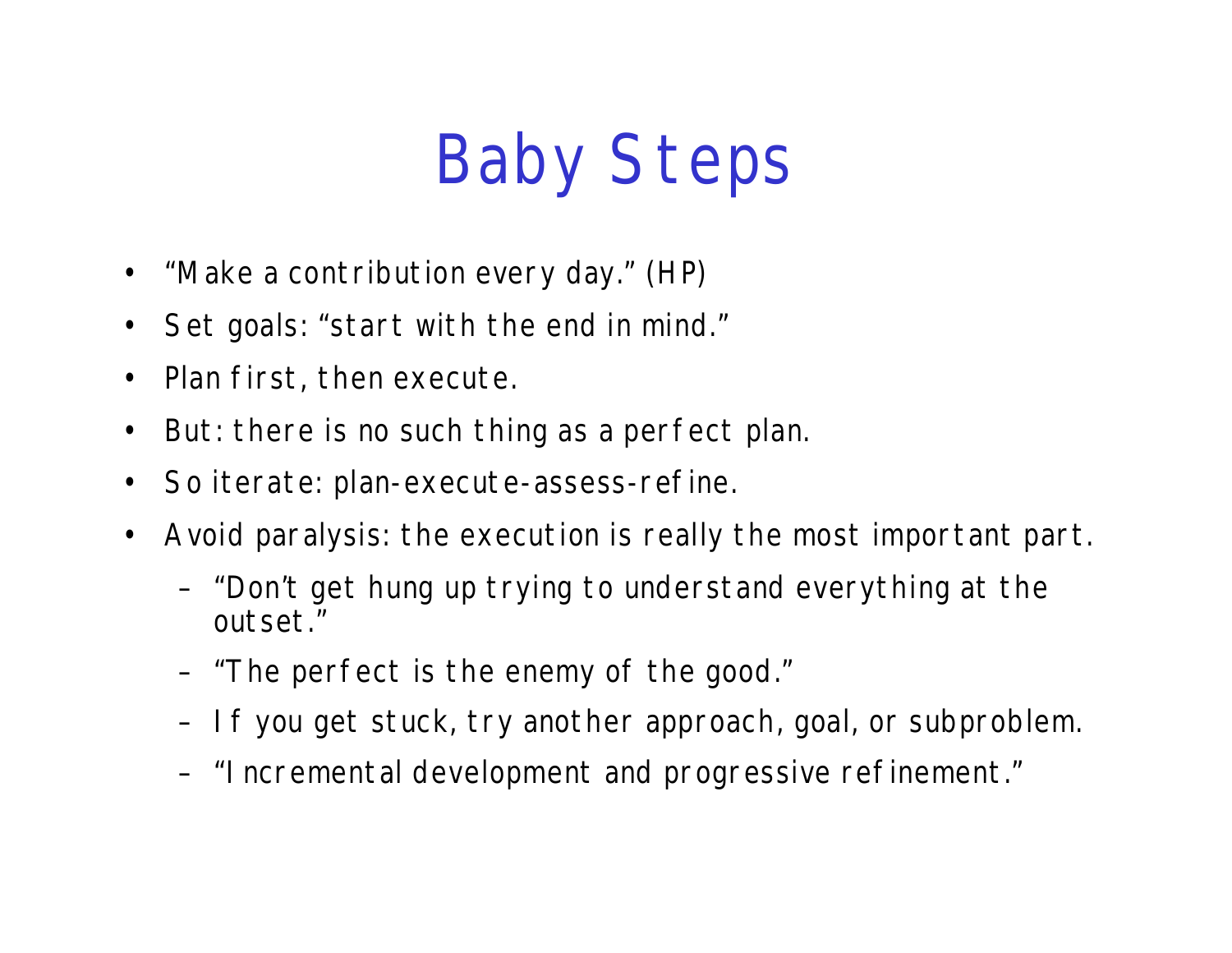## Baby Steps

- "Make a contribution every day." (HP)
- Set goals: "start with the end in mind."
- Plan first, then execute.
- But: there is no such thing as a perfect plan.
- So iterate: plan-execute-assess-refine.
- Avoid paralysis: the execution is really the most important part.
	- "Don't get hung up trying to understand everything at the outset."
	- "The perfect is the enemy of the good."
	- If you get stuck, try another approach, goal, or subproblem.
	- "Incremental development and progressive refinement."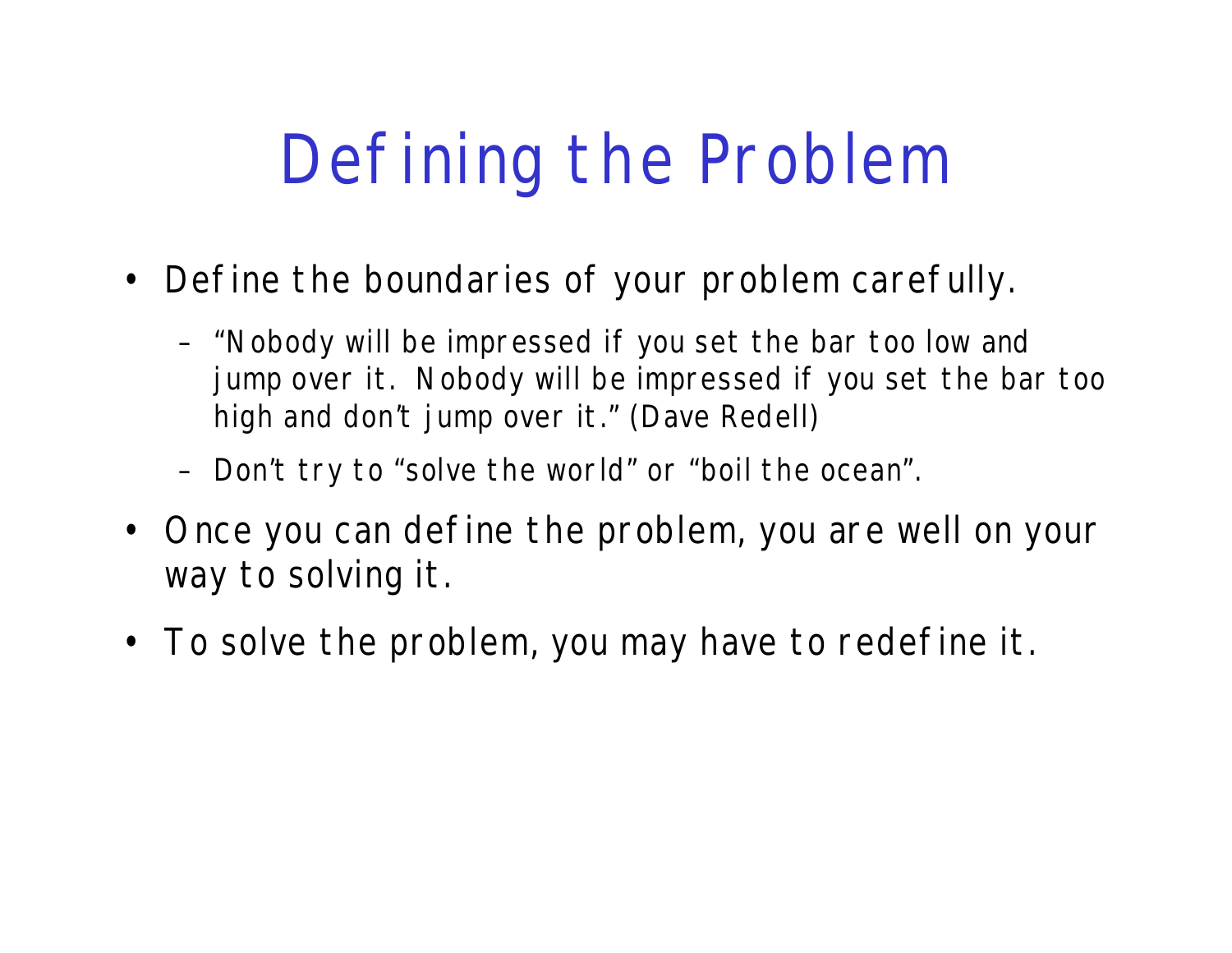## Defining the Problem

- Define the boundaries of your problem carefully.
	- "Nobody will be impressed if you set the bar too low and jump over it. Nobody will be impressed if you set the bar too high and don't jump over it." (Dave Redell)
	- Don't try to "solve the world" or "boil the ocean".
- Once you can define the problem, you are well on your way to solving it.
- To solve the problem, you may have to redefine it.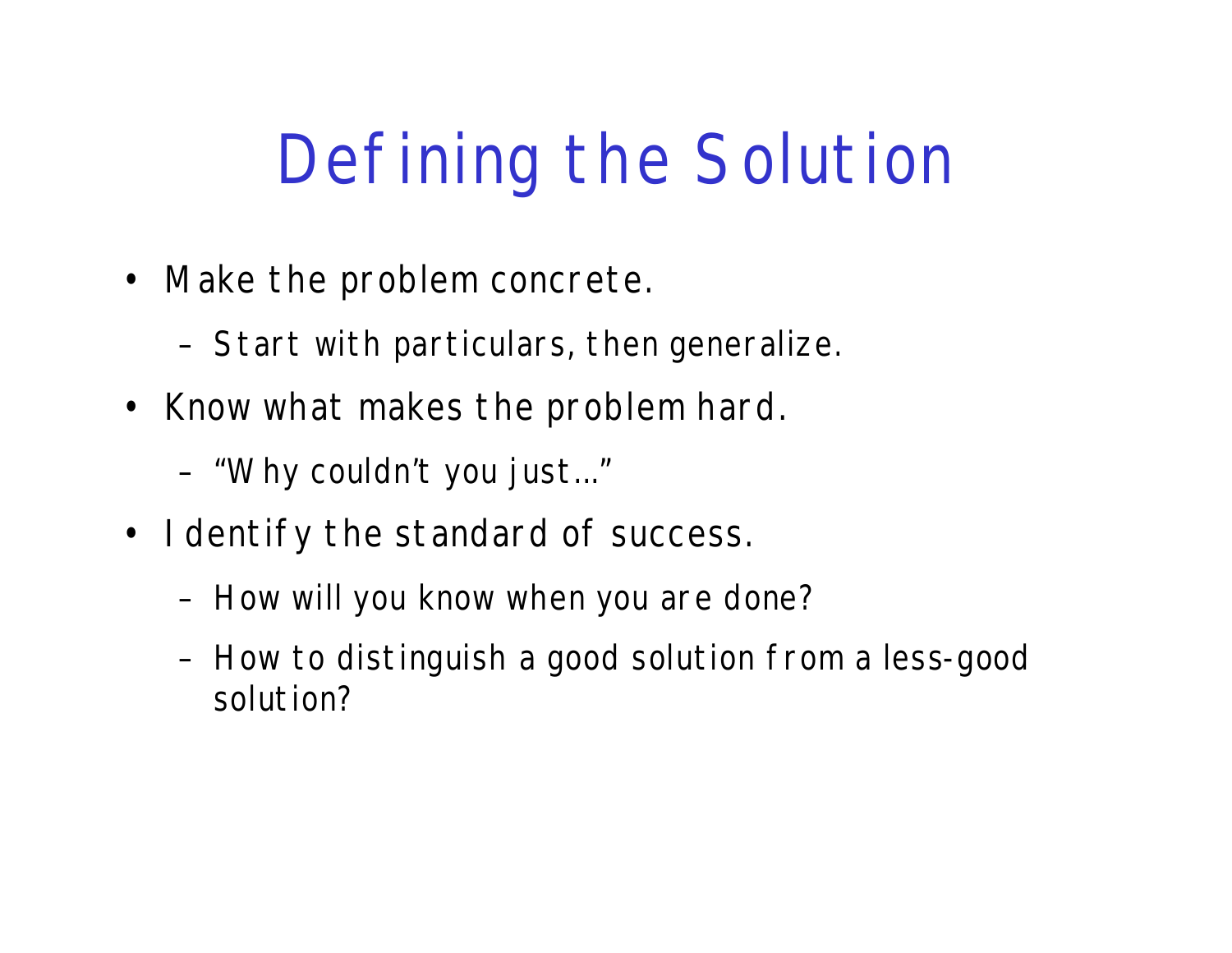# Defining the Solution

- Make the problem concrete.
	- Start with particulars, then generalize.
- Know what makes the problem hard.
	- "Why couldn't you just..."
- I dentify the standard of success.
	- How will you know when you are done?
	- How to distinguish a good solution from a less-good solution?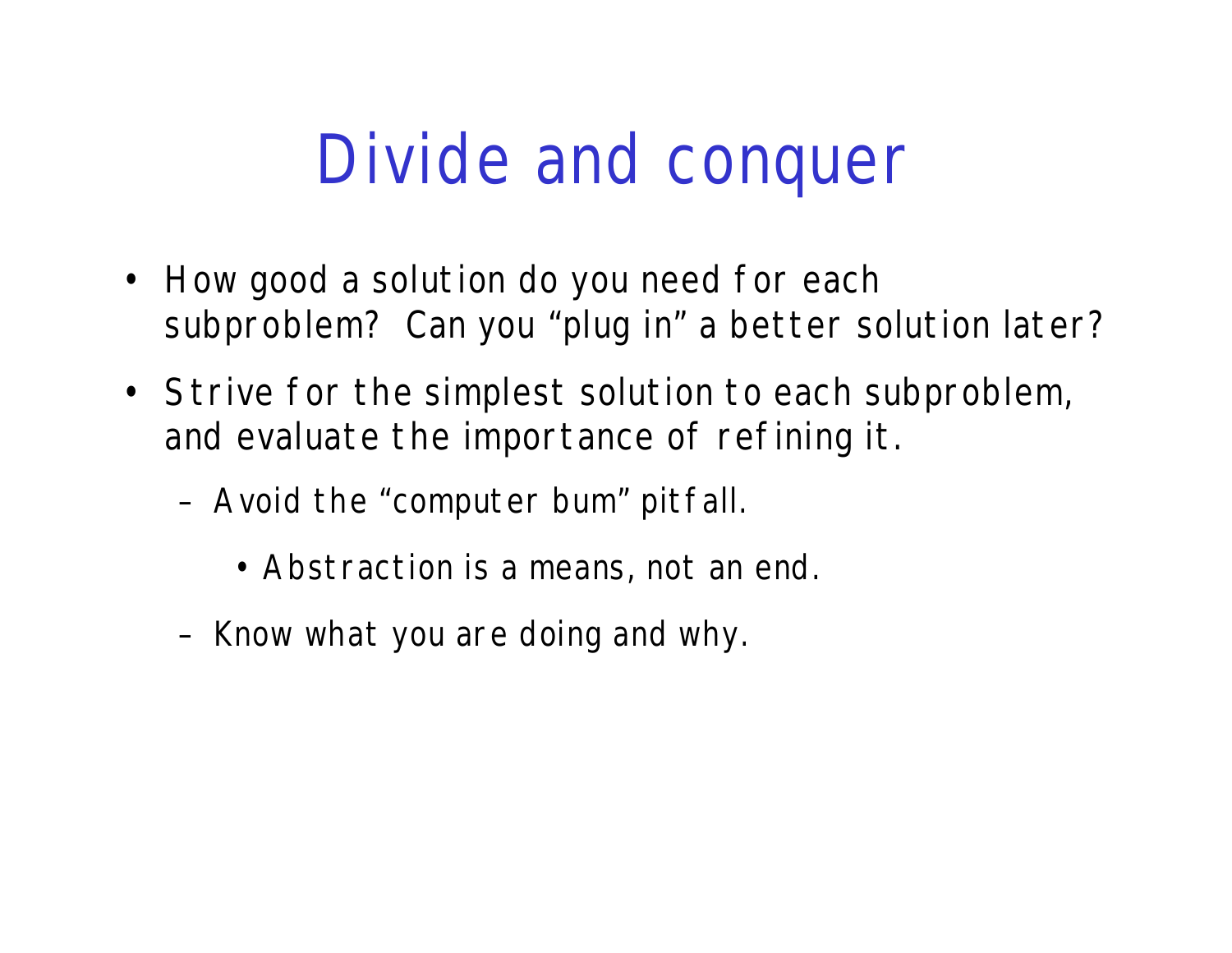### Divide and conquer

- How good a solution do you need for each subproblem? Can you "plug in" a better solution later?
- Strive for the simplest solution to each subproblem, and evaluate the importance of refining it.
	- Avoid the "computer bum" pitfall.
		- Abstraction is a means, not an end.
	- Know what you are doing and why.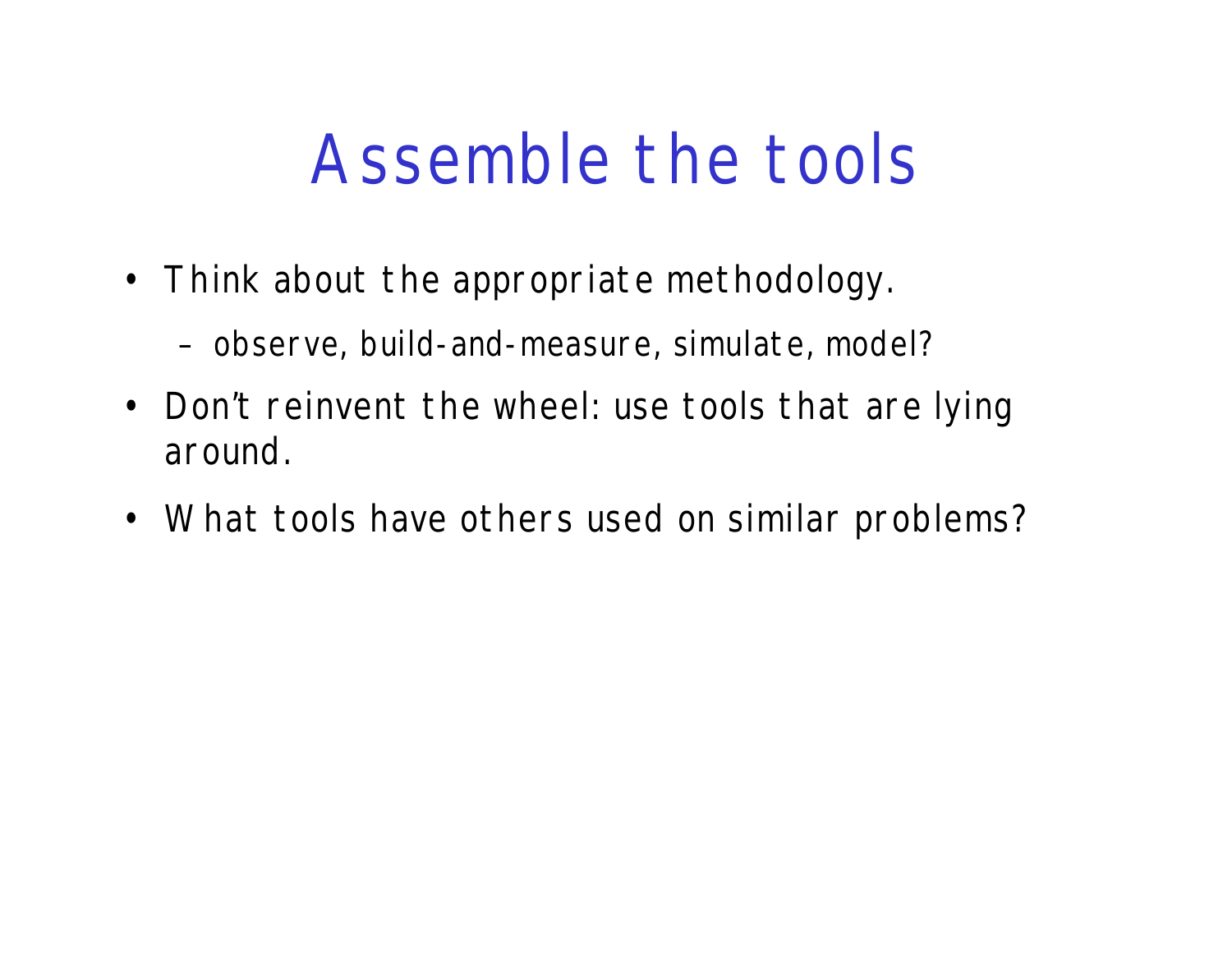#### Assemble the tools

- Think about the appropriate methodology.
	- observe, build-and-measure, simulate, model?
- Don't reinvent the wheel: use tools that are lying around.
- What tools have others used on similar problems?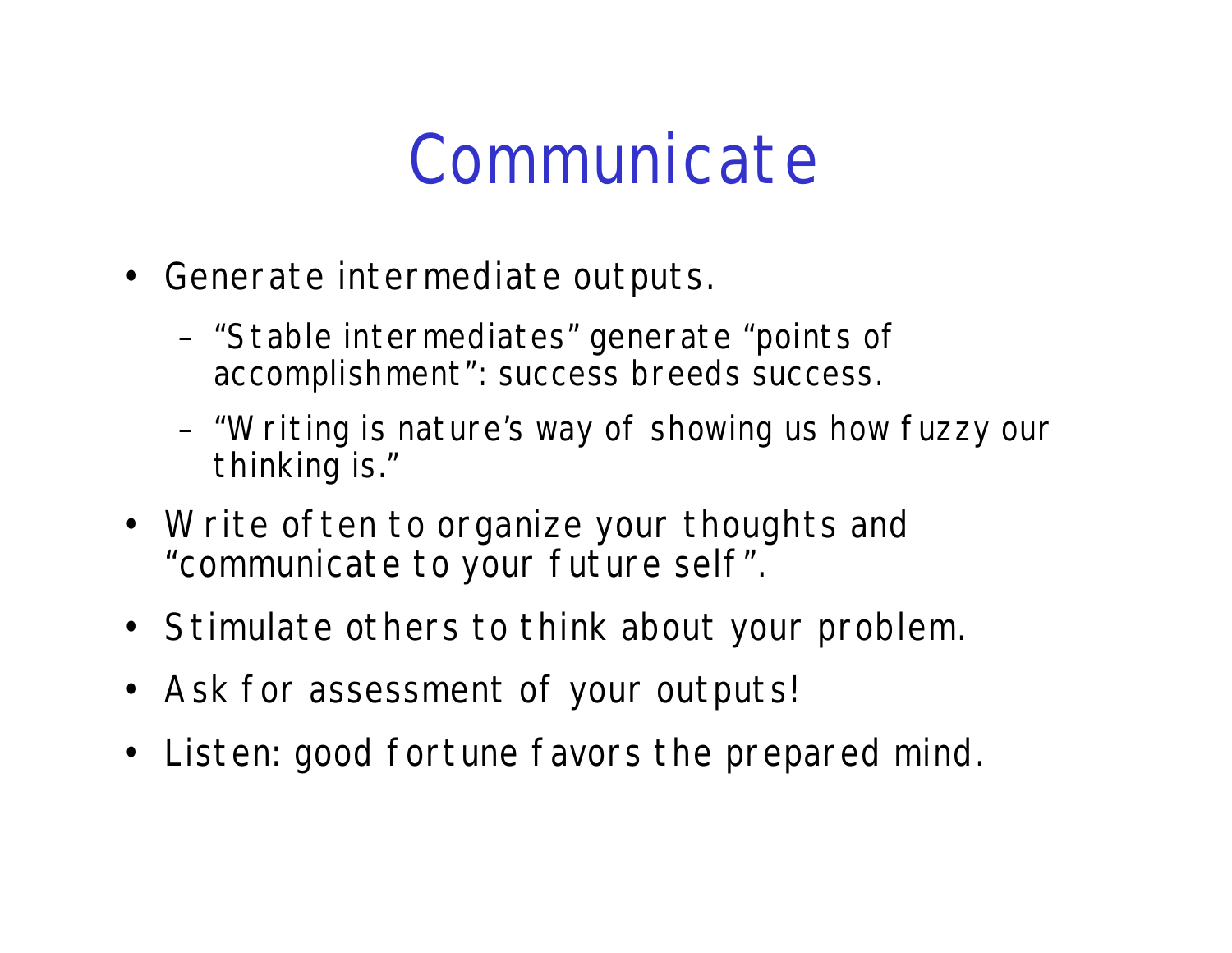#### Communicate

- Generate intermediate outputs.
	- "Stable intermediates" generate "points of accomplishment": success breeds success.
	- "Writing is nature's way of showing us how fuzzy our thinking is."
- Write often to organize your thoughts and "communicate to your future self".
- Stimulate others to think about your problem.
- Ask for assessment of your outputs!
- Listen: good fortune favors the prepared mind.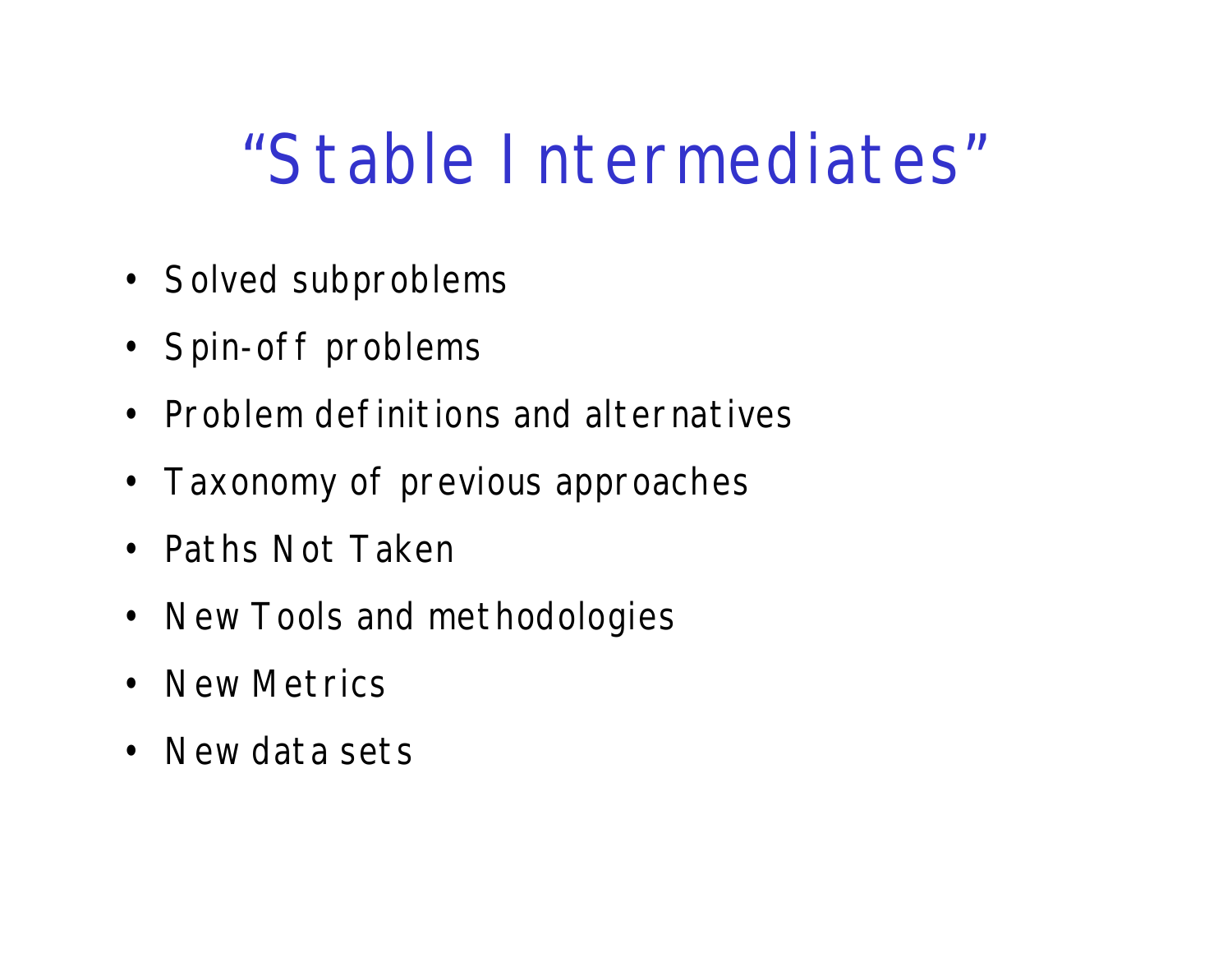### "Stable Intermediates"

- Solved subproblems
- Spin-off problems
- Problem definitions and alternatives
- Taxonomy of previous approaches
- Paths Not Taken
- New Tools and methodologies
- New Metrics
- New data sets